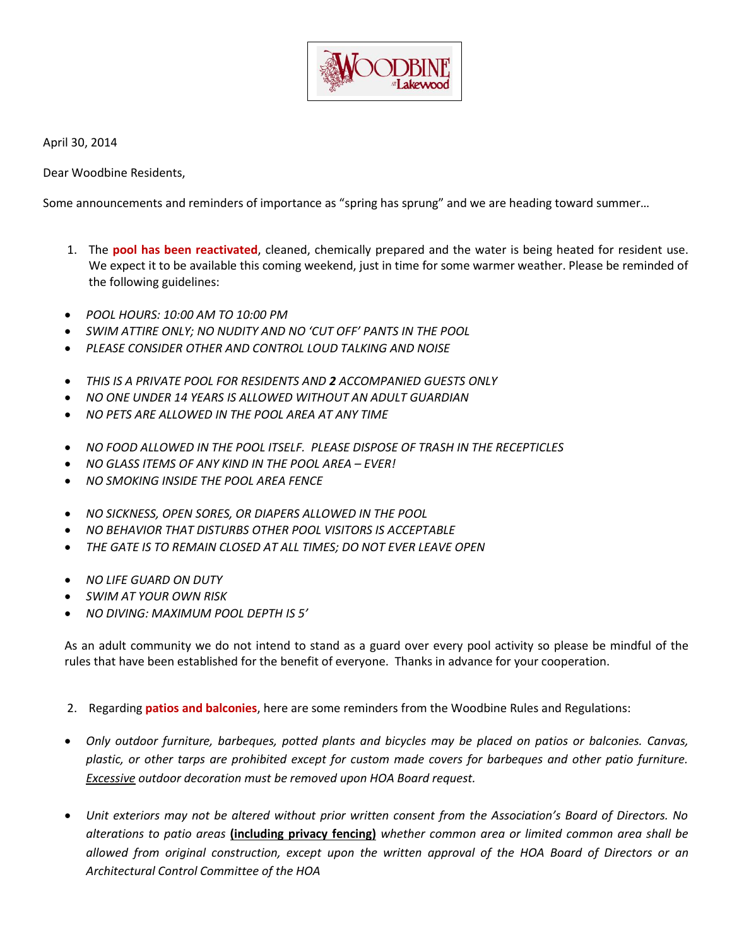

April 30, 2014

Dear Woodbine Residents,

Some announcements and reminders of importance as "spring has sprung" and we are heading toward summer…

- 1. The **pool has been reactivated**, cleaned, chemically prepared and the water is being heated for resident use. We expect it to be available this coming weekend, just in time for some warmer weather. Please be reminded of the following guidelines:
- *POOL HOURS: 10:00 AM TO 10:00 PM*
- *SWIM ATTIRE ONLY; NO NUDITY AND NO 'CUT OFF' PANTS IN THE POOL*
- *PLEASE CONSIDER OTHER AND CONTROL LOUD TALKING AND NOISE*
- *THIS IS A PRIVATE POOL FOR RESIDENTS AND 2 ACCOMPANIED GUESTS ONLY*
- *NO ONE UNDER 14 YEARS IS ALLOWED WITHOUT AN ADULT GUARDIAN*
- *NO PETS ARE ALLOWED IN THE POOL AREA AT ANY TIME*
- *NO FOOD ALLOWED IN THE POOL ITSELF. PLEASE DISPOSE OF TRASH IN THE RECEPTICLES*
- *NO GLASS ITEMS OF ANY KIND IN THE POOL AREA – EVER!*
- *NO SMOKING INSIDE THE POOL AREA FENCE*
- *NO SICKNESS, OPEN SORES, OR DIAPERS ALLOWED IN THE POOL*
- *NO BEHAVIOR THAT DISTURBS OTHER POOL VISITORS IS ACCEPTABLE*
- *THE GATE IS TO REMAIN CLOSED AT ALL TIMES; DO NOT EVER LEAVE OPEN*
- *NO LIFE GUARD ON DUTY*
- *SWIM AT YOUR OWN RISK*
- *NO DIVING: MAXIMUM POOL DEPTH IS 5'*

As an adult community we do not intend to stand as a guard over every pool activity so please be mindful of the rules that have been established for the benefit of everyone. Thanks in advance for your cooperation.

- 2. Regarding **patios and balconies**, here are some reminders from the Woodbine Rules and Regulations:
- *Only outdoor furniture, barbeques, potted plants and bicycles may be placed on patios or balconies. Canvas, plastic, or other tarps are prohibited except for custom made covers for barbeques and other patio furniture. Excessive outdoor decoration must be removed upon HOA Board request.*
- *Unit exteriors may not be altered without prior written consent from the Association's Board of Directors. No alterations to patio areas* **(including privacy fencing)** *whether common area or limited common area shall be allowed from original construction, except upon the written approval of the HOA Board of Directors or an Architectural Control Committee of the HOA*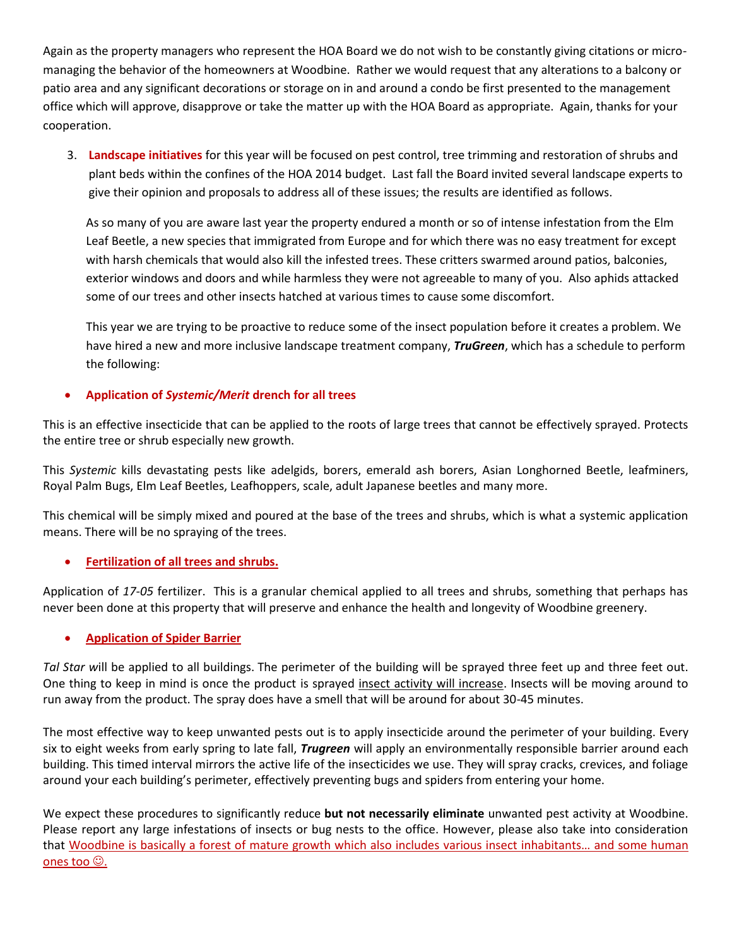Again as the property managers who represent the HOA Board we do not wish to be constantly giving citations or micromanaging the behavior of the homeowners at Woodbine. Rather we would request that any alterations to a balcony or patio area and any significant decorations or storage on in and around a condo be first presented to the management office which will approve, disapprove or take the matter up with the HOA Board as appropriate. Again, thanks for your cooperation.

3. **Landscape initiatives** for this year will be focused on pest control, tree trimming and restoration of shrubs and plant beds within the confines of the HOA 2014 budget. Last fall the Board invited several landscape experts to give their opinion and proposals to address all of these issues; the results are identified as follows.

As so many of you are aware last year the property endured a month or so of intense infestation from the Elm Leaf Beetle, a new species that immigrated from Europe and for which there was no easy treatment for except with harsh chemicals that would also kill the infested trees. These critters swarmed around patios, balconies, exterior windows and doors and while harmless they were not agreeable to many of you. Also aphids attacked some of our trees and other insects hatched at various times to cause some discomfort.

This year we are trying to be proactive to reduce some of the insect population before it creates a problem. We have hired a new and more inclusive landscape treatment company, *TruGreen*, which has a schedule to perform the following:

## **Application of** *Systemic/Merit* **drench for all trees**

This is an effective insecticide that can be applied to the roots of large trees that cannot be effectively sprayed. Protects the entire tree or shrub especially new growth.

This *Systemic* kills devastating pests like adelgids, borers, emerald ash borers, Asian Longhorned Beetle, leafminers, Royal Palm Bugs, Elm Leaf Beetles, Leafhoppers, scale, adult Japanese beetles and many more.

This chemical will be simply mixed and poured at the base of the trees and shrubs, which is what a systemic application means. There will be no spraying of the trees.

## **Fertilization of all trees and shrubs.**

Application of *17-05* fertilizer. This is a granular chemical applied to all trees and shrubs, something that perhaps has never been done at this property that will preserve and enhance the health and longevity of Woodbine greenery.

## **Application of Spider Barrier**

*Tal Star w*ill be applied to all buildings. The perimeter of the building will be sprayed three feet up and three feet out. One thing to keep in mind is once the product is sprayed insect activity will increase. Insects will be moving around to run away from the product. The spray does have a smell that will be around for about 30-45 minutes.

The most effective way to keep unwanted pests out is to apply insecticide around the perimeter of your building. Every six to eight weeks from early spring to late fall, *Trugreen* will apply an environmentally responsible barrier around each building. This timed interval mirrors the active life of the insecticides we use. They will spray cracks, crevices, and foliage around your each building's perimeter, effectively preventing bugs and spiders from entering your home.

We expect these procedures to significantly reduce **but not necessarily eliminate** unwanted pest activity at Woodbine. Please report any large infestations of insects or bug nests to the office. However, please also take into consideration that Woodbine is basically a forest of mature growth which also includes various insect inhabitants… and some human ones too  $\odot$ .